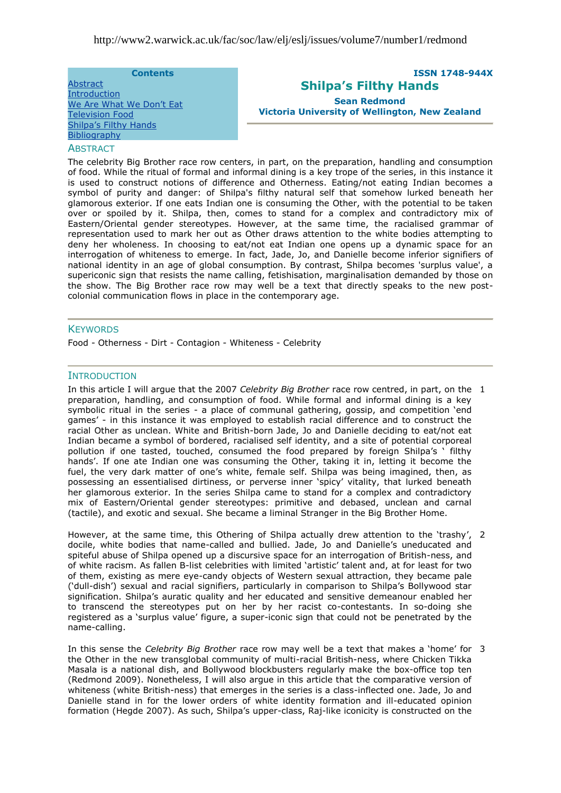#### **Contents**

**[Abstract](#page-0-0)** [Introduction](#page-0-1) We Are What We Don't Eat [Television Food](#page-2-0) [Shilpa"s Filthy Hands](#page-4-0) **[Bibliography](#page-7-0)** 

# **ISSN 1748-944X Shilpa's Filthy Hands Sean Redmond**

<span id="page-0-0"></span>**Victoria University of Wellington, New Zealand** 

### **ABSTRACT**

The celebrity Big Brother race row centers, in part, on the preparation, handling and consumption of food. While the ritual of formal and informal dining is a key trope of the series, in this instance it is used to construct notions of difference and Otherness. Eating/not eating Indian becomes a symbol of purity and danger: of Shilpa's filthy natural self that somehow lurked beneath her glamorous exterior. If one eats Indian one is consuming the Other, with the potential to be taken over or spoiled by it. Shilpa, then, comes to stand for a complex and contradictory mix of Eastern/Oriental gender stereotypes. However, at the same time, the racialised grammar of representation used to mark her out as Other draws attention to the white bodies attempting to deny her wholeness. In choosing to eat/not eat Indian one opens up a dynamic space for an interrogation of whiteness to emerge. In fact, Jade, Jo, and Danielle become inferior signifiers of national identity in an age of global consumption. By contrast, Shilpa becomes 'surplus value', a supericonic sign that resists the name calling, fetishisation, marginalisation demanded by those on the show. The Big Brother race row may well be a text that directly speaks to the new postcolonial communication flows in place in the contemporary age.

#### **KEYWORDS**

Food - Otherness - Dirt - Contagion - Whiteness - Celebrity

### <span id="page-0-1"></span>**INTRODUCTION**

In this article I will argue that the 2007 *Celebrity Big Brother* race row centred, in part, on the 1 preparation, handling, and consumption of food. While formal and informal dining is a key symbolic ritual in the series - a place of communal gathering, gossip, and competition 'end games" - in this instance it was employed to establish racial difference and to construct the racial Other as unclean. White and British-born Jade, Jo and Danielle deciding to eat/not eat Indian became a symbol of bordered, racialised self identity, and a site of potential corporeal pollution if one tasted, touched, consumed the food prepared by foreign Shilpa's ' filthy hands'. If one ate Indian one was consuming the Other, taking it in, letting it become the fuel, the very dark matter of one's white, female self. Shilpa was being imagined, then, as possessing an essentialised dirtiness, or perverse inner 'spicy' vitality, that lurked beneath her glamorous exterior. In the series Shilpa came to stand for a complex and contradictory mix of Eastern/Oriental gender stereotypes: primitive and debased, unclean and carnal (tactile), and exotic and sexual. She became a liminal Stranger in the Big Brother Home.

However, at the same time, this Othering of Shilpa actually drew attention to the "trashy", docile, white bodies that name-called and bullied. Jade, Jo and Danielle"s uneducated and spiteful abuse of Shilpa opened up a discursive space for an interrogation of British-ness, and of white racism. As fallen B-list celebrities with limited "artistic" talent and, at for least for two of them, existing as mere eye-candy objects of Western sexual attraction, they became pale ("dull-dish") sexual and racial signifiers, particularly in comparison to Shilpa"s Bollywood star signification. Shilpa"s auratic quality and her educated and sensitive demeanour enabled her to transcend the stereotypes put on her by her racist co-contestants. In so-doing she registered as a "surplus value" figure, a super-iconic sign that could not be penetrated by the name-calling. 2

In this sense the *Celebrity Big Brother* race row may well be a text that makes a "home" for 3 the Other in the new transglobal community of multi-racial British-ness, where Chicken Tikka Masala is a national dish, and Bollywood blockbusters regularly make the box-office top ten (Redmond 2009). Nonetheless, I will also argue in this article that the comparative version of whiteness (white British-ness) that emerges in the series is a class-inflected one. Jade, Jo and Danielle stand in for the lower orders of white identity formation and ill-educated opinion formation (Hegde 2007). As such, Shilpa"s upper-class, Raj-like iconicity is constructed on the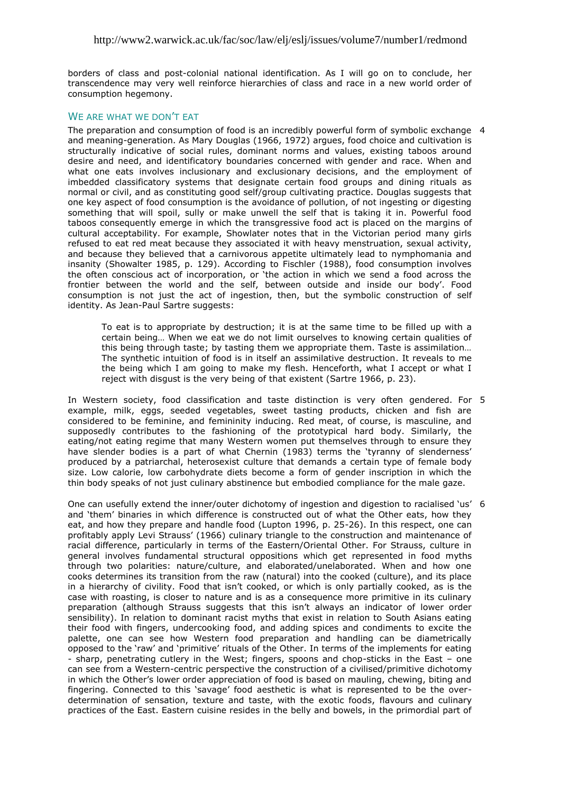borders of class and post-colonial national identification. As I will go on to conclude, her transcendence may very well reinforce hierarchies of class and race in a new world order of consumption hegemony.

## <span id="page-1-0"></span>WE ARE WHAT WE DON'T FAT

The preparation and consumption of food is an incredibly powerful form of symbolic exchange 4 and meaning-generation. As Mary Douglas (1966, 1972) argues, food choice and cultivation is structurally indicative of social rules, dominant norms and values, existing taboos around desire and need, and identificatory boundaries concerned with gender and race. When and what one eats involves inclusionary and exclusionary decisions, and the employment of imbedded classificatory systems that designate certain food groups and dining rituals as normal or civil, and as constituting good self/group cultivating practice. Douglas suggests that one key aspect of food consumption is the avoidance of pollution, of not ingesting or digesting something that will spoil, sully or make unwell the self that is taking it in. Powerful food taboos consequently emerge in which the transgressive food act is placed on the margins of cultural acceptability. For example, Showlater notes that in the Victorian period many girls refused to eat red meat because they associated it with heavy menstruation, sexual activity, and because they believed that a carnivorous appetite ultimately lead to nymphomania and insanity (Showalter 1985, p. 129). According to Fischler (1988), food consumption involves the often conscious act of incorporation, or "the action in which we send a food across the frontier between the world and the self, between outside and inside our body". Food consumption is not just the act of ingestion, then, but the symbolic construction of self identity. As Jean-Paul Sartre suggests:

To eat is to appropriate by destruction; it is at the same time to be filled up with a certain being… When we eat we do not limit ourselves to knowing certain qualities of this being through taste; by tasting them we appropriate them. Taste is assimilation… The synthetic intuition of food is in itself an assimilative destruction. It reveals to me the being which I am going to make my flesh. Henceforth, what I accept or what I reject with disgust is the very being of that existent (Sartre 1966, p. 23).

In Western society, food classification and taste distinction is very often gendered. For 5 example, milk, eggs, seeded vegetables, sweet tasting products, chicken and fish are considered to be feminine, and femininity inducing. Red meat, of course, is masculine, and supposedly contributes to the fashioning of the prototypical hard body. Similarly, the eating/not eating regime that many Western women put themselves through to ensure they have slender bodies is a part of what Chernin (1983) terms the 'tyranny of slenderness' produced by a patriarchal, heterosexist culture that demands a certain type of female body size. Low calorie, low carbohydrate diets become a form of gender inscription in which the thin body speaks of not just culinary abstinence but embodied compliance for the male gaze.

One can usefully extend the inner/outer dichotomy of ingestion and digestion to racialised 'us' 6 and "them" binaries in which difference is constructed out of what the Other eats, how they eat, and how they prepare and handle food (Lupton 1996, p. 25-26). In this respect, one can profitably apply Levi Strauss" (1966) culinary triangle to the construction and maintenance of racial difference, particularly in terms of the Eastern/Oriental Other. For Strauss, culture in general involves fundamental structural oppositions which get represented in food myths through two polarities: nature/culture, and elaborated/unelaborated. When and how one cooks determines its transition from the raw (natural) into the cooked (culture), and its place in a hierarchy of civility. Food that isn"t cooked, or which is only partially cooked, as is the case with roasting, is closer to nature and is as a consequence more primitive in its culinary preparation (although Strauss suggests that this isn"t always an indicator of lower order sensibility). In relation to dominant racist myths that exist in relation to South Asians eating their food with fingers, undercooking food, and adding spices and condiments to excite the palette, one can see how Western food preparation and handling can be diametrically opposed to the "raw" and "primitive" rituals of the Other. In terms of the implements for eating - sharp, penetrating cutlery in the West; fingers, spoons and chop-sticks in the East – one can see from a Western-centric perspective the construction of a civilised/primitive dichotomy in which the Other"s lower order appreciation of food is based on mauling, chewing, biting and fingering. Connected to this "savage" food aesthetic is what is represented to be the overdetermination of sensation, texture and taste, with the exotic foods, flavours and culinary practices of the East. Eastern cuisine resides in the belly and bowels, in the primordial part of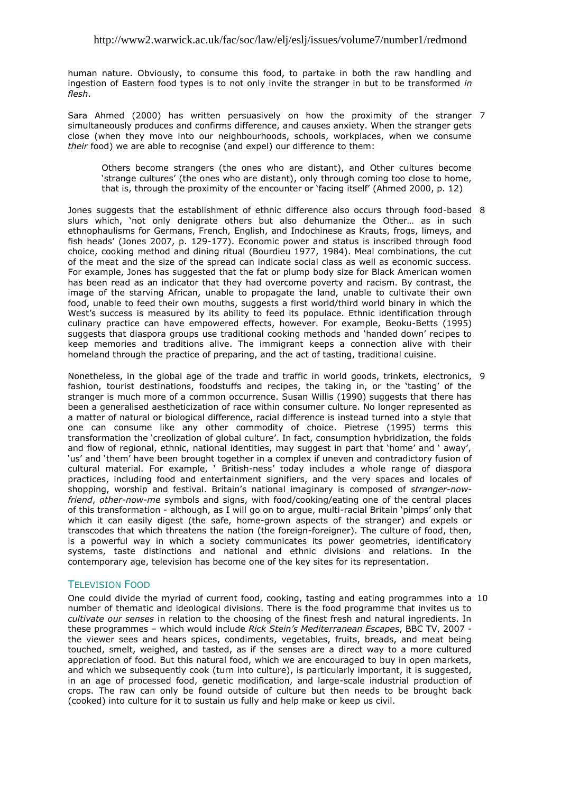human nature. Obviously, to consume this food, to partake in both the raw handling and ingestion of Eastern food types is to not only invite the stranger in but to be transformed *in flesh*.

Sara Ahmed (2000) has written persuasively on how the proximity of the stranger 7 simultaneously produces and confirms difference, and causes anxiety. When the stranger gets close (when they move into our neighbourhoods, schools, workplaces, when we consume *their* food) we are able to recognise (and expel) our difference to them:

Others become strangers (the ones who are distant), and Other cultures become 'strange cultures' (the ones who are distant), only through coming too close to home, that is, through the proximity of the encounter or "facing itself" (Ahmed 2000, p. 12)

Jones suggests that the establishment of ethnic difference also occurs through food-based 8 slurs which, "not only denigrate others but also dehumanize the Other… as in such ethnophaulisms for Germans, French, English, and Indochinese as Krauts, frogs, limeys, and fish heads" (Jones 2007, p. 129-177). Economic power and status is inscribed through food choice, cooking method and dining ritual (Bourdieu 1977, 1984). Meal combinations, the cut of the meat and the size of the spread can indicate social class as well as economic success. For example, Jones has suggested that the fat or plump body size for Black American women has been read as an indicator that they had overcome poverty and racism. By contrast, the image of the starving African, unable to propagate the land, unable to cultivate their own food, unable to feed their own mouths, suggests a first world/third world binary in which the West's success is measured by its ability to feed its populace. Ethnic identification through culinary practice can have empowered effects, however. For example, Beoku-Betts (1995) suggests that diaspora groups use traditional cooking methods and "handed down" recipes to keep memories and traditions alive. The immigrant keeps a connection alive with their homeland through the practice of preparing, and the act of tasting, traditional cuisine.

Nonetheless, in the global age of the trade and traffic in world goods, trinkets, electronics, 9 fashion, tourist destinations, foodstuffs and recipes, the taking in, or the 'tasting' of the stranger is much more of a common occurrence. Susan Willis (1990) suggests that there has been a generalised aestheticization of race within consumer culture. No longer represented as a matter of natural or biological difference, racial difference is instead turned into a style that one can consume like any other commodity of choice. Pietrese (1995) terms this transformation the 'creolization of global culture'. In fact, consumption hybridization, the folds and flow of regional, ethnic, national identities, may suggest in part that 'home' and ' away', 'us' and 'them' have been brought together in a complex if uneven and contradictory fusion of cultural material. For example, " British-ness" today includes a whole range of diaspora practices, including food and entertainment signifiers, and the very spaces and locales of shopping, worship and festival. Britain"s national imaginary is composed of *stranger-nowfriend*, *other-now-me* symbols and signs, with food/cooking/eating one of the central places of this transformation - although, as I will go on to argue, multi-racial Britain "pimps" only that which it can easily digest (the safe, home-grown aspects of the stranger) and expels or transcodes that which threatens the nation (the foreign-foreigner). The culture of food, then, is a powerful way in which a society communicates its power geometries, identificatory systems, taste distinctions and national and ethnic divisions and relations. In the contemporary age, television has become one of the key sites for its representation.

## <span id="page-2-0"></span>**TELEVISION FOOD**

One could divide the myriad of current food, cooking, tasting and eating programmes into a 10number of thematic and ideological divisions. There is the food programme that invites us to *cultivate our senses* in relation to the choosing of the finest fresh and natural ingredients. In these programmes – which would include *Rick Stein's Mediterranean Escapes*, BBC TV, 2007 the viewer sees and hears spices, condiments, vegetables, fruits, breads, and meat being touched, smelt, weighed, and tasted, as if the senses are a direct way to a more cultured appreciation of food. But this natural food, which we are encouraged to buy in open markets, and which we subsequently cook (turn into culture), is particularly important, it is suggested, in an age of processed food, genetic modification, and large-scale industrial production of crops. The raw can only be found outside of culture but then needs to be brought back (cooked) into culture for it to sustain us fully and help make or keep us civil.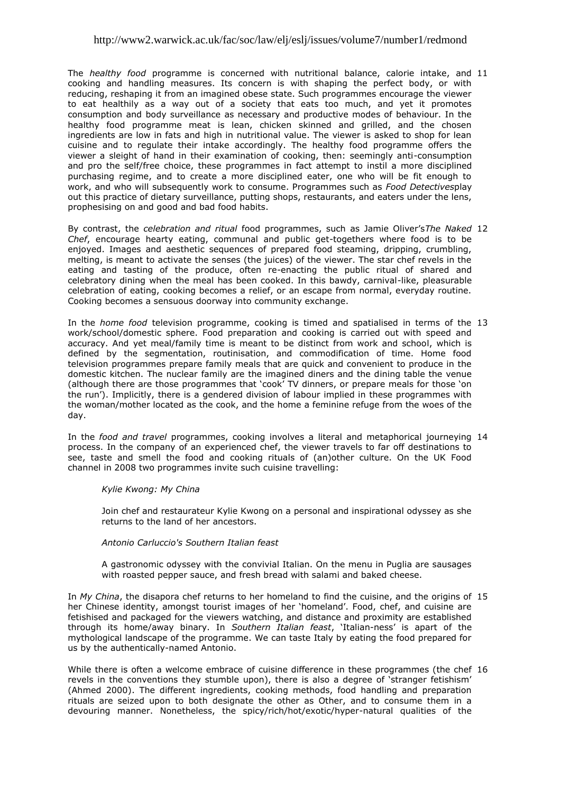## http://www2.warwick.ac.uk/fac/soc/law/elj/eslj/issues/volume7/number1/redmond

The *healthy food* programme is concerned with nutritional balance, calorie intake, and 11 cooking and handling measures. Its concern is with shaping the perfect body, or with reducing, reshaping it from an imagined obese state. Such programmes encourage the viewer to eat healthily as a way out of a society that eats too much, and yet it promotes consumption and body surveillance as necessary and productive modes of behaviour. In the healthy food programme meat is lean, chicken skinned and grilled, and the chosen ingredients are low in fats and high in nutritional value. The viewer is asked to shop for lean cuisine and to regulate their intake accordingly. The healthy food programme offers the viewer a sleight of hand in their examination of cooking, then: seemingly anti-consumption and pro the self/free choice, these programmes in fact attempt to instil a more disciplined purchasing regime, and to create a more disciplined eater, one who will be fit enough to work, and who will subsequently work to consume. Programmes such as *Food Detectives*play out this practice of dietary surveillance, putting shops, restaurants, and eaters under the lens, prophesising on and good and bad food habits.

By contrast, the *celebration and ritual* food programmes, such as Jamie Oliver"s*The Naked*  12 *Chef*, encourage hearty eating, communal and public get-togethers where food is to be enjoyed. Images and aesthetic sequences of prepared food steaming, dripping, crumbling, melting, is meant to activate the senses (the juices) of the viewer. The star chef revels in the eating and tasting of the produce, often re-enacting the public ritual of shared and celebratory dining when the meal has been cooked. In this bawdy, carnival-like, pleasurable celebration of eating, cooking becomes a relief, or an escape from normal, everyday routine. Cooking becomes a sensuous doorway into community exchange.

In the *home food* television programme, cooking is timed and spatialised in terms of the 13 work/school/domestic sphere. Food preparation and cooking is carried out with speed and accuracy. And yet meal/family time is meant to be distinct from work and school, which is defined by the segmentation, routinisation, and commodification of time. Home food television programmes prepare family meals that are quick and convenient to produce in the domestic kitchen. The nuclear family are the imagined diners and the dining table the venue (although there are those programmes that "cook" TV dinners, or prepare meals for those "on the run"). Implicitly, there is a gendered division of labour implied in these programmes with the woman/mother located as the cook, and the home a feminine refuge from the woes of the day.

In the *food and travel* programmes, cooking involves a literal and metaphorical journeying 14 process. In the company of an experienced chef, the viewer travels to far off destinations to see, taste and smell the food and cooking rituals of (an)other culture. On the UK Food channel in 2008 two programmes invite such cuisine travelling:

### *Kylie Kwong: My China*

Join chef and restaurateur Kylie Kwong on a personal and inspirational odyssey as she returns to the land of her ancestors.

#### *Antonio Carluccio's Southern Italian feast*

A gastronomic odyssey with the convivial Italian. On the menu in Puglia are sausages with roasted pepper sauce, and fresh bread with salami and baked cheese.

In *My China*, the disapora chef returns to her homeland to find the cuisine, and the origins of 15 her Chinese identity, amongst tourist images of her 'homeland'. Food, chef, and cuisine are fetishised and packaged for the viewers watching, and distance and proximity are established through its home/away binary. In *Southern Italian feast*, "Italian-ness" is apart of the mythological landscape of the programme. We can taste Italy by eating the food prepared for us by the authentically-named Antonio.

While there is often a welcome embrace of cuisine difference in these programmes (the chef 16revels in the conventions they stumble upon), there is also a degree of "stranger fetishism" (Ahmed 2000). The different ingredients, cooking methods, food handling and preparation rituals are seized upon to both designate the other as Other, and to consume them in a devouring manner. Nonetheless, the spicy/rich/hot/exotic/hyper-natural qualities of the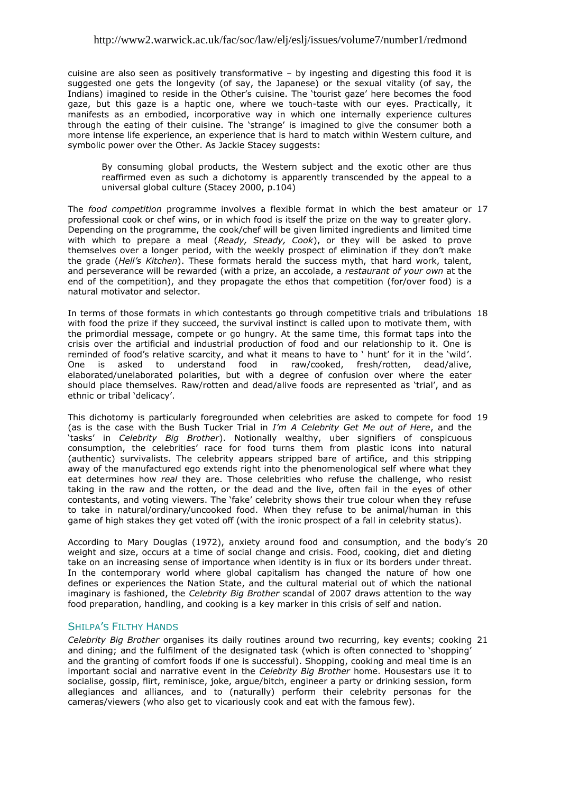## http://www2.warwick.ac.uk/fac/soc/law/elj/eslj/issues/volume7/number1/redmond

cuisine are also seen as positively transformative – by ingesting and digesting this food it is suggested one gets the longevity (of say, the Japanese) or the sexual vitality (of say, the Indians) imagined to reside in the Other"s cuisine. The "tourist gaze" here becomes the food gaze, but this gaze is a haptic one, where we touch-taste with our eyes. Practically, it manifests as an embodied, incorporative way in which one internally experience cultures through the eating of their cuisine. The "strange" is imagined to give the consumer both a more intense life experience, an experience that is hard to match within Western culture, and symbolic power over the Other. As Jackie Stacey suggests:

By consuming global products, the Western subject and the exotic other are thus reaffirmed even as such a dichotomy is apparently transcended by the appeal to a universal global culture (Stacey 2000, p.104)

The *food competition* programme involves a flexible format in which the best amateur or 17 professional cook or chef wins, or in which food is itself the prize on the way to greater glory. Depending on the programme, the cook/chef will be given limited ingredients and limited time with which to prepare a meal (*Ready, Steady, Cook*), or they will be asked to prove themselves over a longer period, with the weekly prospect of elimination if they don"t make the grade (*Hell's Kitchen*). These formats herald the success myth, that hard work, talent, and perseverance will be rewarded (with a prize, an accolade, a *restaurant of your own* at the end of the competition), and they propagate the ethos that competition (for/over food) is a natural motivator and selector.

In terms of those formats in which contestants go through competitive trials and tribulations 18 with food the prize if they succeed, the survival instinct is called upon to motivate them, with the primordial message, compete or go hungry. At the same time, this format taps into the crisis over the artificial and industrial production of food and our relationship to it. One is reminded of food's relative scarcity, and what it means to have to ' hunt' for it in the 'wild'. One is asked to understand food in raw/cooked, fresh/rotten, dead/alive, elaborated/unelaborated polarities, but with a degree of confusion over where the eater should place themselves. Raw/rotten and dead/alive foods are represented as "trial", and as ethnic or tribal 'delicacy'.

This dichotomy is particularly foregrounded when celebrities are asked to compete for food 19 (as is the case with the Bush Tucker Trial in *I'm A Celebrity Get Me out of Here*, and the "tasks" in *Celebrity Big Brother*). Notionally wealthy, uber signifiers of conspicuous consumption, the celebrities" race for food turns them from plastic icons into natural (authentic) survivalists. The celebrity appears stripped bare of artifice, and this stripping away of the manufactured ego extends right into the phenomenological self where what they eat determines how *real* they are. Those celebrities who refuse the challenge, who resist taking in the raw and the rotten, or the dead and the live, often fail in the eyes of other contestants, and voting viewers. The "fake" celebrity shows their true colour when they refuse to take in natural/ordinary/uncooked food. When they refuse to be animal/human in this game of high stakes they get voted off (with the ironic prospect of a fall in celebrity status).

According to Mary Douglas (1972), anxiety around food and consumption, and the body"s 20 weight and size, occurs at a time of social change and crisis. Food, cooking, diet and dieting take on an increasing sense of importance when identity is in flux or its borders under threat. In the contemporary world where global capitalism has changed the nature of how one defines or experiences the Nation State, and the cultural material out of which the national imaginary is fashioned, the *Celebrity Big Brother* scandal of 2007 draws attention to the way food preparation, handling, and cooking is a key marker in this crisis of self and nation.

### <span id="page-4-0"></span>**SHILPA'S FILTHY HANDS**

*Celebrity Big Brother* organises its daily routines around two recurring, key events; cooking 21and dining; and the fulfilment of the designated task (which is often connected to 'shopping' and the granting of comfort foods if one is successful). Shopping, cooking and meal time is an important social and narrative event in the *Celebrity Big Brother* home. Housestars use it to socialise, gossip, flirt, reminisce, joke, argue/bitch, engineer a party or drinking session, form allegiances and alliances, and to (naturally) perform their celebrity personas for the cameras/viewers (who also get to vicariously cook and eat with the famous few).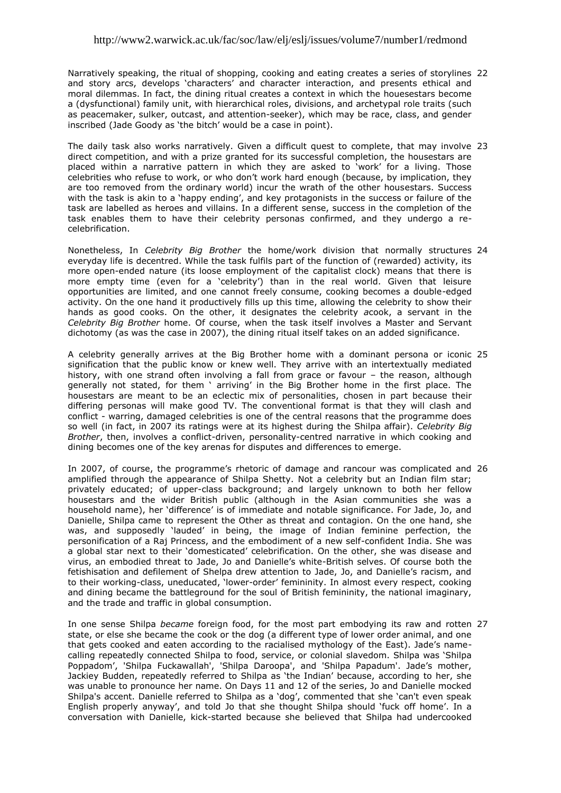Narratively speaking, the ritual of shopping, cooking and eating creates a series of storylines 22 and story arcs, develops "characters" and character interaction, and presents ethical and moral dilemmas. In fact, the dining ritual creates a context in which the houesestars become a (dysfunctional) family unit, with hierarchical roles, divisions, and archetypal role traits (such as peacemaker, sulker, outcast, and attention-seeker), which may be race, class, and gender inscribed (Jade Goody as 'the bitch' would be a case in point).

The daily task also works narratively. Given a difficult quest to complete, that may involve 23 direct competition, and with a prize granted for its successful completion, the housestars are placed within a narrative pattern in which they are asked to "work" for a living. Those celebrities who refuse to work, or who don"t work hard enough (because, by implication, they are too removed from the ordinary world) incur the wrath of the other housestars. Success with the task is akin to a "happy ending", and key protagonists in the success or failure of the task are labelled as heroes and villains. In a different sense, success in the completion of the task enables them to have their celebrity personas confirmed, and they undergo a recelebrification.

Nonetheless, In *Celebrity Big Brother* the home/work division that normally structures 24 everyday life is decentred. While the task fulfils part of the function of (rewarded) activity, its more open-ended nature (its loose employment of the capitalist clock) means that there is more empty time (even for a 'celebrity') than in the real world. Given that leisure opportunities are limited, and one cannot freely consume, cooking becomes a double-edged activity. On the one hand it productively fills up this time, allowing the celebrity to show their hands as good cooks. On the other, it designates the celebrity *a*cook, a servant in the *Celebrity Big Brother* home. Of course, when the task itself involves a Master and Servant dichotomy (as was the case in 2007), the dining ritual itself takes on an added significance.

A celebrity generally arrives at the Big Brother home with a dominant persona or iconic 25 signification that the public know or knew well. They arrive with an intertextually mediated history, with one strand often involving a fall from grace or favour – the reason, although generally not stated, for them ' arriving' in the Big Brother home in the first place. The housestars are meant to be an eclectic mix of personalities, chosen in part because their differing personas will make good TV. The conventional format is that they will clash and conflict - warring, damaged celebrities is one of the central reasons that the programme does so well (in fact, in 2007 its ratings were at its highest during the Shilpa affair). *Celebrity Big Brother*, then, involves a conflict-driven, personality-centred narrative in which cooking and dining becomes one of the key arenas for disputes and differences to emerge.

In 2007, of course, the programme's rhetoric of damage and rancour was complicated and 26 amplified through the appearance of Shilpa Shetty. Not a celebrity but an Indian film star; privately educated; of upper-class background; and largely unknown to both her fellow housestars and the wider British public (although in the Asian communities she was a household name), her "difference" is of immediate and notable significance. For Jade, Jo, and Danielle, Shilpa came to represent the Other as threat and contagion. On the one hand, she was, and supposedly "lauded" in being, the image of Indian feminine perfection, the personification of a Raj Princess, and the embodiment of a new self-confident India. She was a global star next to their "domesticated" celebrification. On the other, she was disease and virus, an embodied threat to Jade, Jo and Danielle"s white-British selves. Of course both the fetishisation and defilement of Shelpa drew attention to Jade, Jo, and Danielle's racism, and to their working-class, uneducated, "lower-order" femininity. In almost every respect, cooking and dining became the battleground for the soul of British femininity, the national imaginary, and the trade and traffic in global consumption.

In one sense Shilpa *became* foreign food, for the most part embodying its raw and rotten 27state, or else she became the cook or the dog (a different type of lower order animal, and one that gets cooked and eaten according to the racialised mythology of the East). Jade"s namecalling repeatedly connected Shilpa to food, service, or colonial slavedom. Shilpa was "Shilpa Poppadom', 'Shilpa Fuckawallah', 'Shilpa Daroopa', and 'Shilpa Papadum'. Jade's mother, Jackiey Budden, repeatedly referred to Shilpa as "the Indian" because, according to her, she was unable to pronounce her name. On Days 11 and 12 of the series, Jo and Danielle mocked Shilpa's accent. Danielle referred to Shilpa as a "dog", commented that she "can't even speak English properly anyway', and told Jo that she thought Shilpa should 'fuck off home'. In a conversation with Danielle, kick-started because she believed that Shilpa had undercooked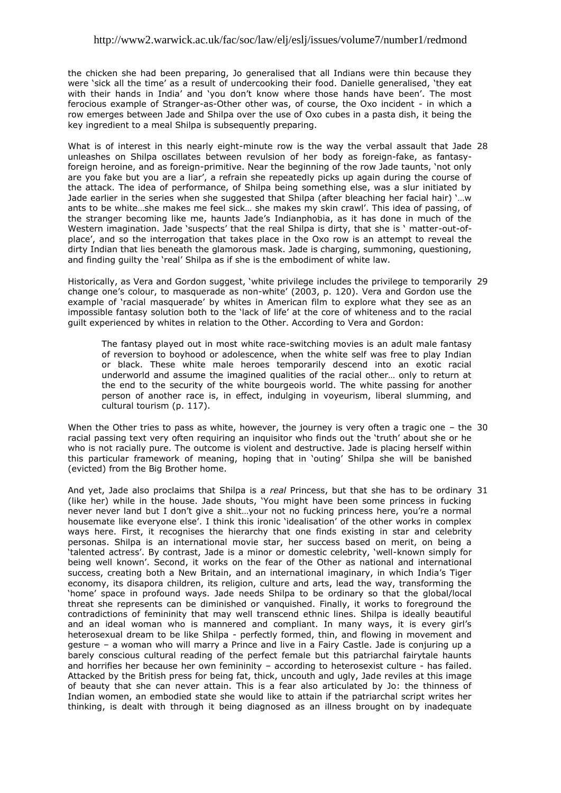the chicken she had been preparing, Jo generalised that all Indians were thin because they were "sick all the time" as a result of undercooking their food. Danielle generalised, "they eat with their hands in India' and 'you don't know where those hands have been'. The most ferocious example of Stranger-as-Other other was, of course, the Oxo incident - in which a row emerges between Jade and Shilpa over the use of Oxo cubes in a pasta dish, it being the key ingredient to a meal Shilpa is subsequently preparing.

What is of interest in this nearly eight-minute row is the way the verbal assault that Jade 28 unleashes on Shilpa oscillates between revulsion of her body as foreign-fake, as fantasyforeign heroine, and as foreign-primitive. Near the beginning of the row Jade taunts, "not only are you fake but you are a liar", a refrain she repeatedly picks up again during the course of the attack. The idea of performance, of Shilpa being something else, was a slur initiated by Jade earlier in the series when she suggested that Shilpa (after bleaching her facial hair) "…w ants to be white...she makes me feel sick... she makes my skin crawl'. This idea of passing, of the stranger becoming like me, haunts Jade"s Indianphobia, as it has done in much of the Western imagination. Jade 'suspects' that the real Shilpa is dirty, that she is ' matter-out-ofplace", and so the interrogation that takes place in the Oxo row is an attempt to reveal the dirty Indian that lies beneath the glamorous mask. Jade is charging, summoning, questioning, and finding guilty the "real" Shilpa as if she is the embodiment of white law.

Historically, as Vera and Gordon suggest, "white privilege includes the privilege to temporarily 29 change one's colour, to masquerade as non-white' (2003, p. 120). Vera and Gordon use the example of "racial masquerade" by whites in American film to explore what they see as an impossible fantasy solution both to the "lack of life" at the core of whiteness and to the racial guilt experienced by whites in relation to the Other. According to Vera and Gordon:

The fantasy played out in most white race-switching movies is an adult male fantasy of reversion to boyhood or adolescence, when the white self was free to play Indian or black. These white male heroes temporarily descend into an exotic racial underworld and assume the imagined qualities of the racial other… only to return at the end to the security of the white bourgeois world. The white passing for another person of another race is, in effect, indulging in voyeurism, liberal slumming, and cultural tourism (p. 117).

When the Other tries to pass as white, however, the journey is very often a tragic one – the 30 racial passing text very often requiring an inquisitor who finds out the 'truth' about she or he who is not racially pure. The outcome is violent and destructive. Jade is placing herself within this particular framework of meaning, hoping that in "outing" Shilpa she will be banished (evicted) from the Big Brother home.

And yet, Jade also proclaims that Shilpa is a *real* Princess, but that she has to be ordinary 31(like her) while in the house. Jade shouts, "You might have been some princess in fucking never never land but I don"t give a shit…your not no fucking princess here, you"re a normal housemate like everyone else'. I think this ironic 'idealisation' of the other works in complex ways here. First, it recognises the hierarchy that one finds existing in star and celebrity personas. Shilpa is an international movie star, her success based on merit, on being a "talented actress". By contrast, Jade is a minor or domestic celebrity, "well-known simply for being well known". Second, it works on the fear of the Other as national and international success, creating both a New Britain, and an international imaginary, in which India"s Tiger economy, its disapora children, its religion, culture and arts, lead the way, transforming the "home" space in profound ways. Jade needs Shilpa to be ordinary so that the global/local threat she represents can be diminished or vanquished. Finally, it works to foreground the contradictions of femininity that may well transcend ethnic lines. Shilpa is ideally beautiful and an ideal woman who is mannered and compliant. In many ways, it is every girl"s heterosexual dream to be like Shilpa - perfectly formed, thin, and flowing in movement and gesture – a woman who will marry a Prince and live in a Fairy Castle. Jade is conjuring up a barely conscious cultural reading of the perfect female but this patriarchal fairytale haunts and horrifies her because her own femininity – according to heterosexist culture - has failed. Attacked by the British press for being fat, thick, uncouth and ugly, Jade reviles at this image of beauty that she can never attain. This is a fear also articulated by Jo: the thinness of Indian women, an embodied state she would like to attain if the patriarchal script writes her thinking, is dealt with through it being diagnosed as an illness brought on by inadequate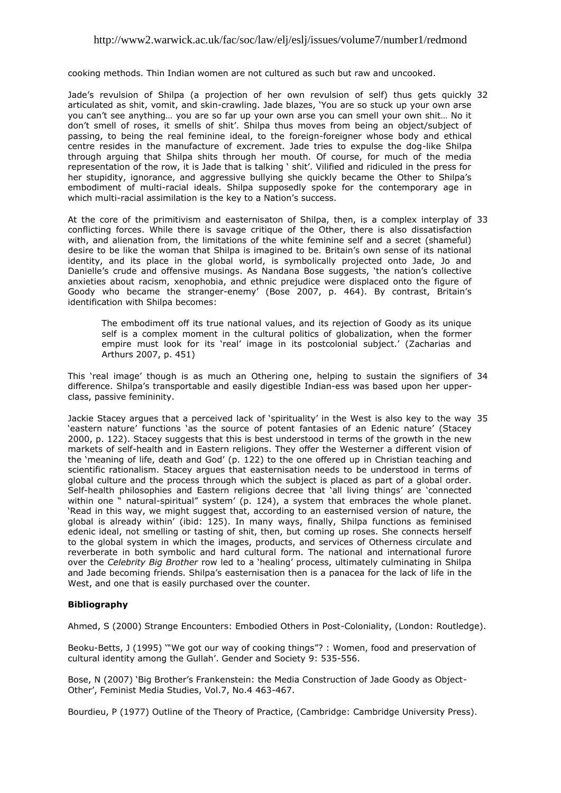cooking methods. Thin Indian women are not cultured as such but raw and uncooked.

Jade"s revulsion of Shilpa (a projection of her own revulsion of self) thus gets quickly 32 articulated as shit, vomit, and skin-crawling. Jade blazes, "You are so stuck up your own arse you can"t see anything… you are so far up your own arse you can smell your own shit… No it don"t smell of roses, it smells of shit". Shilpa thus moves from being an object/subject of passing, to being the real feminine ideal, to the foreign-foreigner whose body and ethical centre resides in the manufacture of excrement. Jade tries to expulse the dog-like Shilpa through arguing that Shilpa shits through her mouth. Of course, for much of the media representation of the row, it is Jade that is talking " shit". Vilified and ridiculed in the press for her stupidity, ignorance, and aggressive bullying she quickly became the Other to Shilpa's embodiment of multi-racial ideals. Shilpa supposedly spoke for the contemporary age in which multi-racial assimilation is the key to a Nation's success.

At the core of the primitivism and easternisaton of Shilpa, then, is a complex interplay of 33 conflicting forces. While there is savage critique of the Other, there is also dissatisfaction with, and alienation from, the limitations of the white feminine self and a secret (shameful) desire to be like the woman that Shilpa is imagined to be. Britain's own sense of its national identity, and its place in the global world, is symbolically projected onto Jade, Jo and Danielle"s crude and offensive musings. As Nandana Bose suggests, "the nation"s collective anxieties about racism, xenophobia, and ethnic prejudice were displaced onto the figure of Goody who became the stranger-enemy" (Bose 2007, p. 464). By contrast, Britain"s identification with Shilpa becomes:

The embodiment off its true national values, and its rejection of Goody as its unique self is a complex moment in the cultural politics of globalization, when the former empire must look for its 'real' image in its postcolonial subject.' (Zacharias and Arthurs 2007, p. 451)

This 'real image' though is as much an Othering one, helping to sustain the signifiers of 34 difference. Shilpa"s transportable and easily digestible Indian-ess was based upon her upperclass, passive femininity.

Jackie Stacey argues that a perceived lack of "spirituality" in the West is also key to the way 35 "eastern nature" functions "as the source of potent fantasies of an Edenic nature" (Stacey 2000, p. 122). Stacey suggests that this is best understood in terms of the growth in the new markets of self-health and in Eastern religions. They offer the Westerner a different vision of the 'meaning of life, death and God' (p. 122) to the one offered up in Christian teaching and scientific rationalism. Stacey argues that easternisation needs to be understood in terms of global culture and the process through which the subject is placed as part of a global order. Self-health philosophies and Eastern religions decree that "all living things" are "connected within one  $\dot{N}$  natural-spiritual" system' (p. 124), a system that embraces the whole planet. 'Read in this way, we might suggest that, according to an easternised version of nature, the global is already within" (ibid: 125). In many ways, finally, Shilpa functions as feminised edenic ideal, not smelling or tasting of shit, then, but coming up roses. She connects herself to the global system in which the images, products, and services of Otherness circulate and reverberate in both symbolic and hard cultural form. The national and international furore over the *Celebrity Big Brother* row led to a "healing" process, ultimately culminating in Shilpa and Jade becoming friends. Shilpa"s easternisation then is a panacea for the lack of life in the West, and one that is easily purchased over the counter.

### <span id="page-7-0"></span>**Bibliography**

Ahmed, S (2000) Strange Encounters: Embodied Others in Post-Coloniality, (London: Routledge).

Beoku-Betts, J (1995) ""We got our way of cooking things"? : Women, food and preservation of cultural identity among the Gullah". Gender and Society 9: 535-556.

Bose, N (2007) "Big Brother"s Frankenstein: the Media Construction of Jade Goody as Object-Other", Feminist Media Studies, Vol.7, No.4 463-467.

Bourdieu, P (1977) Outline of the Theory of Practice, (Cambridge: Cambridge University Press).